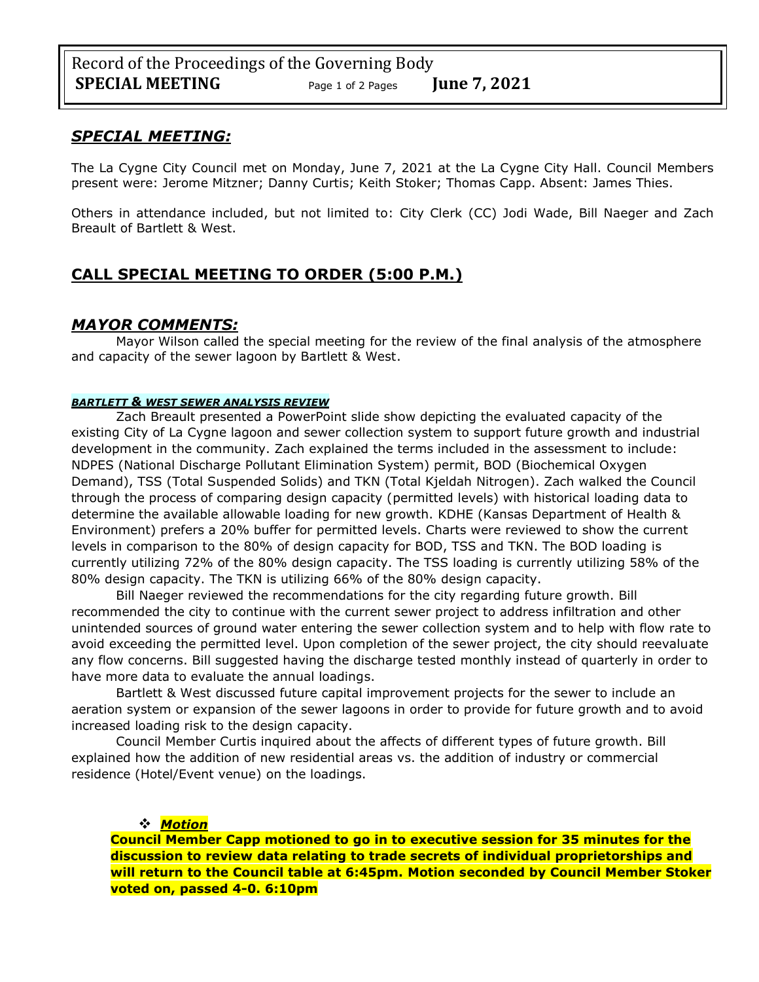### *SPECIAL MEETING:*

The La Cygne City Council met on Monday, June 7, 2021 at the La Cygne City Hall. Council Members present were: Jerome Mitzner; Danny Curtis; Keith Stoker; Thomas Capp. Absent: James Thies.

Others in attendance included, but not limited to: City Clerk (CC) Jodi Wade, Bill Naeger and Zach Breault of Bartlett & West.

## **CALL SPECIAL MEETING TO ORDER (5:00 P.M.)**

### *MAYOR COMMENTS:*

Mayor Wilson called the special meeting for the review of the final analysis of the atmosphere and capacity of the sewer lagoon by Bartlett & West.

#### *BARTLETT & WEST SEWER ANALYSIS REVIEW*

Zach Breault presented a PowerPoint slide show depicting the evaluated capacity of the existing City of La Cygne lagoon and sewer collection system to support future growth and industrial development in the community. Zach explained the terms included in the assessment to include: NDPES (National Discharge Pollutant Elimination System) permit, BOD (Biochemical Oxygen Demand), TSS (Total Suspended Solids) and TKN (Total Kjeldah Nitrogen). Zach walked the Council through the process of comparing design capacity (permitted levels) with historical loading data to determine the available allowable loading for new growth. KDHE (Kansas Department of Health & Environment) prefers a 20% buffer for permitted levels. Charts were reviewed to show the current levels in comparison to the 80% of design capacity for BOD, TSS and TKN. The BOD loading is currently utilizing 72% of the 80% design capacity. The TSS loading is currently utilizing 58% of the 80% design capacity. The TKN is utilizing 66% of the 80% design capacity.

Bill Naeger reviewed the recommendations for the city regarding future growth. Bill recommended the city to continue with the current sewer project to address infiltration and other unintended sources of ground water entering the sewer collection system and to help with flow rate to avoid exceeding the permitted level. Upon completion of the sewer project, the city should reevaluate any flow concerns. Bill suggested having the discharge tested monthly instead of quarterly in order to have more data to evaluate the annual loadings.

Bartlett & West discussed future capital improvement projects for the sewer to include an aeration system or expansion of the sewer lagoons in order to provide for future growth and to avoid increased loading risk to the design capacity.

Council Member Curtis inquired about the affects of different types of future growth. Bill explained how the addition of new residential areas vs. the addition of industry or commercial residence (Hotel/Event venue) on the loadings.

#### ❖ *Motion*

**Council Member Capp motioned to go in to executive session for 35 minutes for the discussion to review data relating to trade secrets of individual proprietorships and will return to the Council table at 6:45pm. Motion seconded by Council Member Stoker voted on, passed 4-0. 6:10pm**